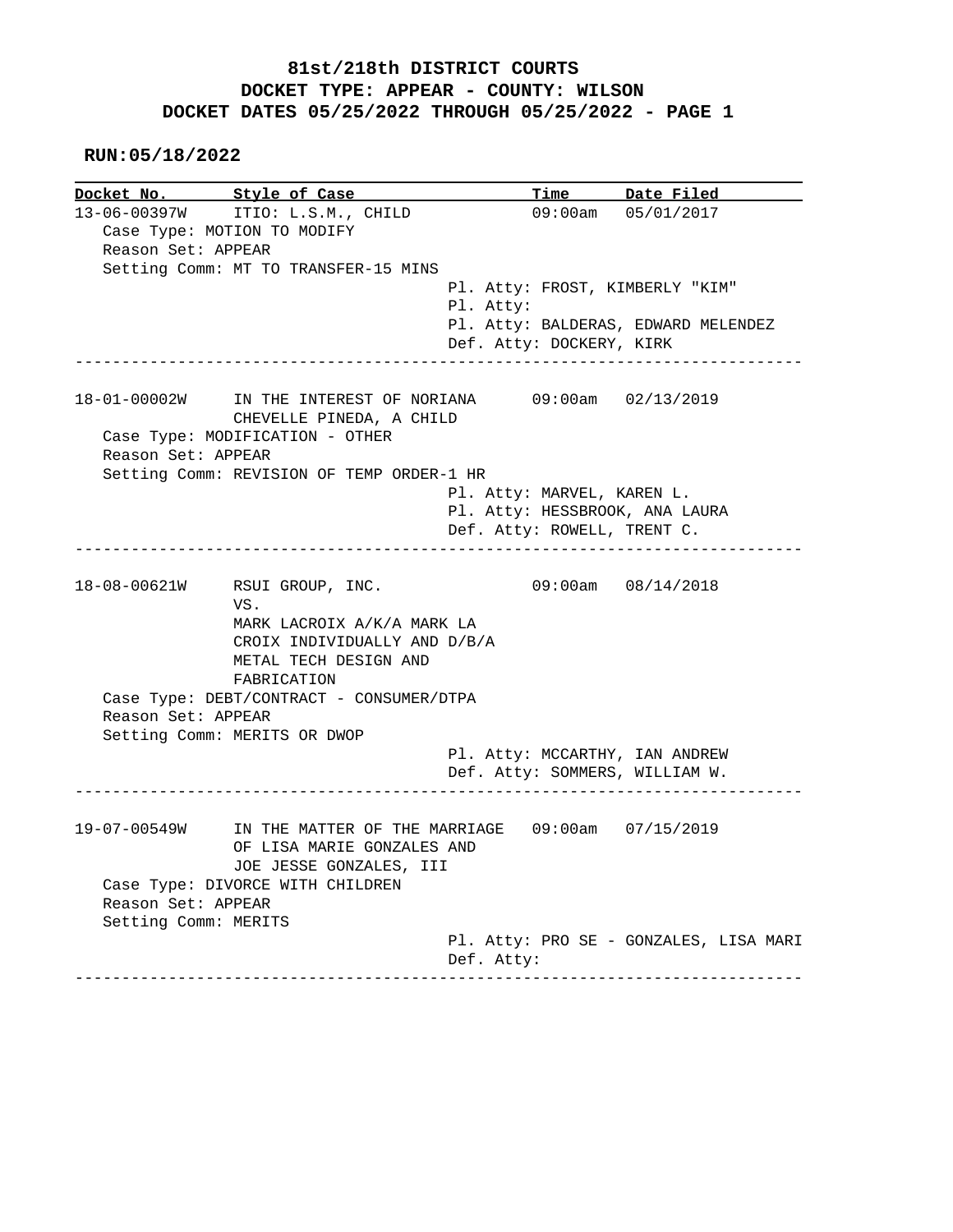**RUN:05/18/2022**

| Docket No. Style of Case |                                                                                                                                                | <b>Time</b>                                                      | Date Filed |
|--------------------------|------------------------------------------------------------------------------------------------------------------------------------------------|------------------------------------------------------------------|------------|
|                          | 13-06-00397W ITIO: L.S.M., CHILD                                                                                                               | $09:00$ am $05/01/2017$                                          |            |
|                          | Case Type: MOTION TO MODIFY                                                                                                                    |                                                                  |            |
| Reason Set: APPEAR       |                                                                                                                                                |                                                                  |            |
|                          | Setting Comm: MT TO TRANSFER-15 MINS                                                                                                           |                                                                  |            |
|                          |                                                                                                                                                | Pl. Atty: FROST, KIMBERLY "KIM"                                  |            |
|                          |                                                                                                                                                | Pl. Atty:                                                        |            |
|                          |                                                                                                                                                | Pl. Atty: BALDERAS, EDWARD MELENDEZ                              |            |
|                          | ____________________________                                                                                                                   | Def. Atty: DOCKERY, KIRK                                         |            |
|                          | 18-01-00002W IN THE INTEREST OF NORIANA 09:00am 02/13/2019                                                                                     |                                                                  |            |
|                          | CHEVELLE PINEDA, A CHILD                                                                                                                       |                                                                  |            |
|                          | Case Type: MODIFICATION - OTHER                                                                                                                |                                                                  |            |
| Reason Set: APPEAR       |                                                                                                                                                |                                                                  |            |
|                          | Setting Comm: REVISION OF TEMP ORDER-1 HR                                                                                                      |                                                                  |            |
|                          |                                                                                                                                                | Pl. Atty: MARVEL, KAREN L.                                       |            |
|                          |                                                                                                                                                | Pl. Atty: HESSBROOK, ANA LAURA                                   |            |
|                          |                                                                                                                                                | Def. Atty: ROWELL, TRENT C.                                      |            |
| 18-08-00621W             | RSUI GROUP, INC.<br>VS.                                                                                                                        | $09:00am$ $08/14/2018$                                           |            |
| Reason Set: APPEAR       | MARK LACROIX A/K/A MARK LA<br>CROIX INDIVIDUALLY AND D/B/A<br>METAL TECH DESIGN AND<br>FABRICATION<br>Case Type: DEBT/CONTRACT - CONSUMER/DTPA |                                                                  |            |
|                          | Setting Comm: MERITS OR DWOP                                                                                                                   |                                                                  |            |
|                          |                                                                                                                                                | Pl. Atty: MCCARTHY, IAN ANDREW<br>Def. Atty: SOMMERS, WILLIAM W. |            |
|                          | 19-07-00549W IN THE MATTER OF THE MARRIAGE 09:00am 07/15/2019<br>OF LISA MARIE GONZALES AND                                                    |                                                                  |            |
|                          | JOE JESSE GONZALES, III                                                                                                                        |                                                                  |            |
|                          | Case Type: DIVORCE WITH CHILDREN                                                                                                               |                                                                  |            |
| Reason Set: APPEAR       |                                                                                                                                                |                                                                  |            |
| Setting Comm: MERITS     |                                                                                                                                                |                                                                  |            |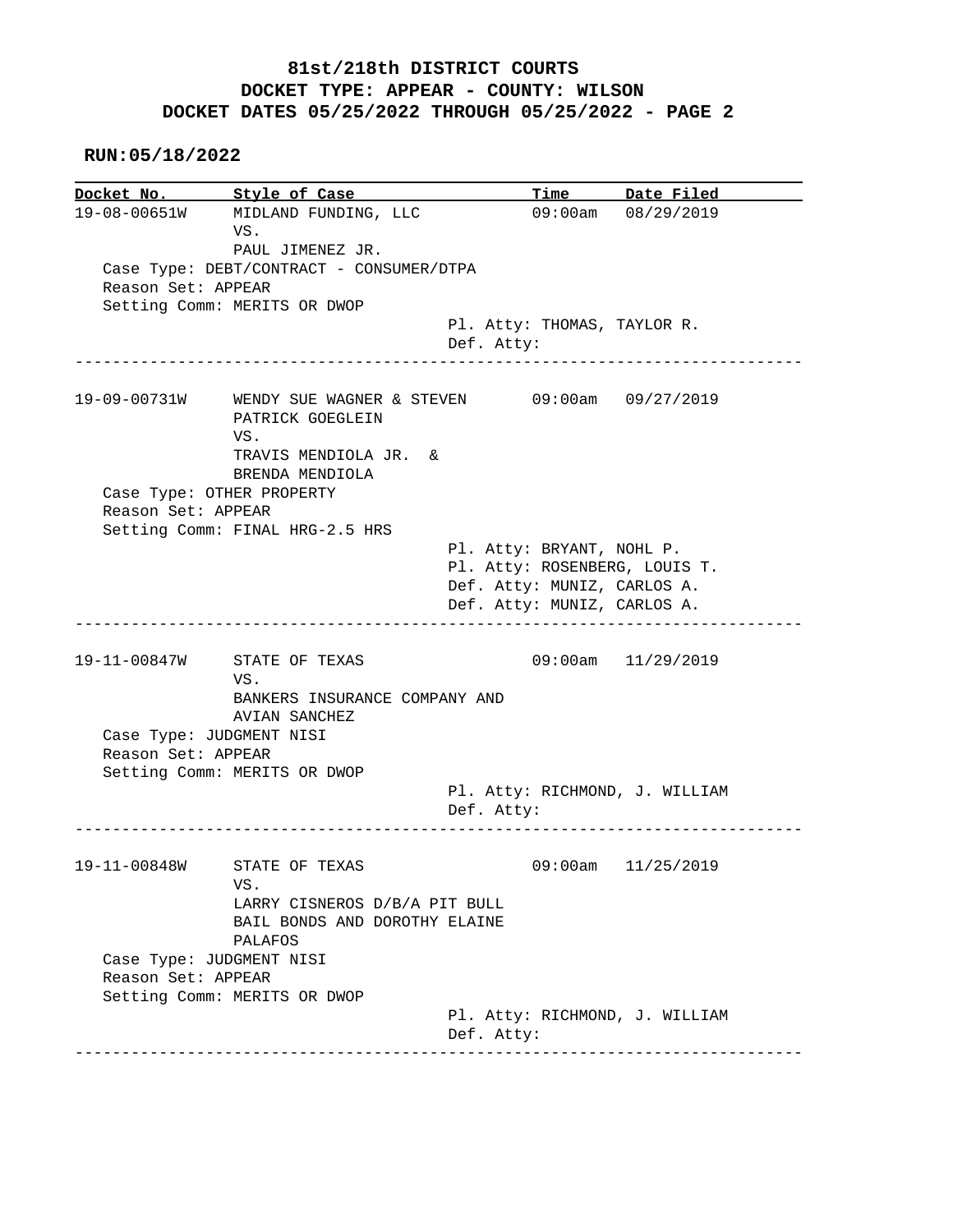**RUN:05/18/2022**

**Docket No. Style of Case Time Date Filed**<br>19-08-00651W MIDLAND FUNDING, LLC 09:00am 08/29/2019 19-08-00651W MIDLAND FUNDING, LLC VS. PAUL JIMENEZ JR. Case Type: DEBT/CONTRACT - CONSUMER/DTPA Reason Set: APPEAR Setting Comm: MERITS OR DWOP Pl. Atty: THOMAS, TAYLOR R. Def. Atty: ------------------------------------------------------------------------------ 19-09-00731W WENDY SUE WAGNER & STEVEN 09:00am 09/27/2019 PATRICK GOEGLEIN VS. TRAVIS MENDIOLA JR. & BRENDA MENDIOLA Case Type: OTHER PROPERTY Reason Set: APPEAR Setting Comm: FINAL HRG-2.5 HRS Pl. Atty: BRYANT, NOHL P. Pl. Atty: ROSENBERG, LOUIS T. Def. Atty: MUNIZ, CARLOS A. Def. Atty: MUNIZ, CARLOS A. ------------------------------------------------------------------------------ 19-11-00847W STATE OF TEXAS 09:00am 11/29/2019 VS. BANKERS INSURANCE COMPANY AND AVIAN SANCHEZ Case Type: JUDGMENT NISI Reason Set: APPEAR Setting Comm: MERITS OR DWOP Pl. Atty: RICHMOND, J. WILLIAM Def. Atty: ------------------------------------------------------------------------------ 19-11-00848W STATE OF TEXAS 09:00am 11/25/2019 VS. LARRY CISNEROS D/B/A PIT BULL BAIL BONDS AND DOROTHY ELAINE PALAFOS Case Type: JUDGMENT NISI Reason Set: APPEAR Setting Comm: MERITS OR DWOP Pl. Atty: RICHMOND, J. WILLIAM Def. Atty: ------------------------------------------------------------------------------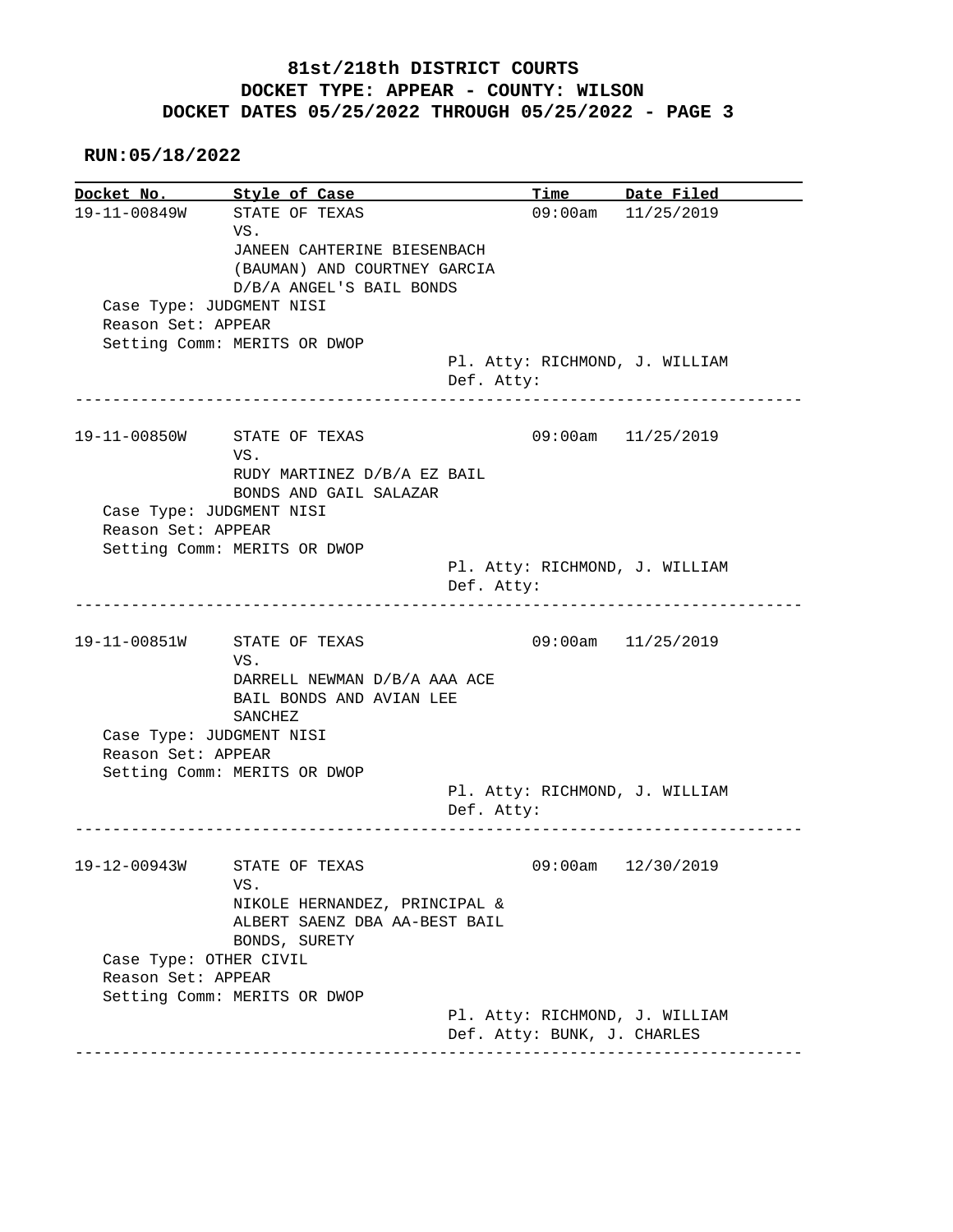**RUN:05/18/2022**

**Docket No. Style of Case Time Date Filed**  19-11-00849W STATE OF TEXAS 09:00am 11/25/2019 VS. JANEEN CAHTERINE BIESENBACH (BAUMAN) AND COURTNEY GARCIA D/B/A ANGEL'S BAIL BONDS Case Type: JUDGMENT NISI Reason Set: APPEAR Setting Comm: MERITS OR DWOP Pl. Atty: RICHMOND, J. WILLIAM Def. Atty: ------------------------------------------------------------------------------ 19-11-00850W STATE OF TEXAS 09:00am 11/25/2019 VS. RUDY MARTINEZ D/B/A EZ BAIL BONDS AND GAIL SALAZAR Case Type: JUDGMENT NISI Reason Set: APPEAR Setting Comm: MERITS OR DWOP Pl. Atty: RICHMOND, J. WILLIAM Def. Atty: ------------------------------------------------------------------------------ 19-11-00851W STATE OF TEXAS 09:00am 11/25/2019 VS. DARRELL NEWMAN D/B/A AAA ACE BAIL BONDS AND AVIAN LEE SANCHEZ Case Type: JUDGMENT NISI Reason Set: APPEAR Setting Comm: MERITS OR DWOP Pl. Atty: RICHMOND, J. WILLIAM Def. Atty: ------------------------------------------------------------------------------ 19-12-00943W STATE OF TEXAS 09:00am 12/30/2019 VS. NIKOLE HERNANDEZ, PRINCIPAL & ALBERT SAENZ DBA AA-BEST BAIL BONDS, SURETY Case Type: OTHER CIVIL Reason Set: APPEAR Setting Comm: MERITS OR DWOP Pl. Atty: RICHMOND, J. WILLIAM Def. Atty: BUNK, J. CHARLES ------------------------------------------------------------------------------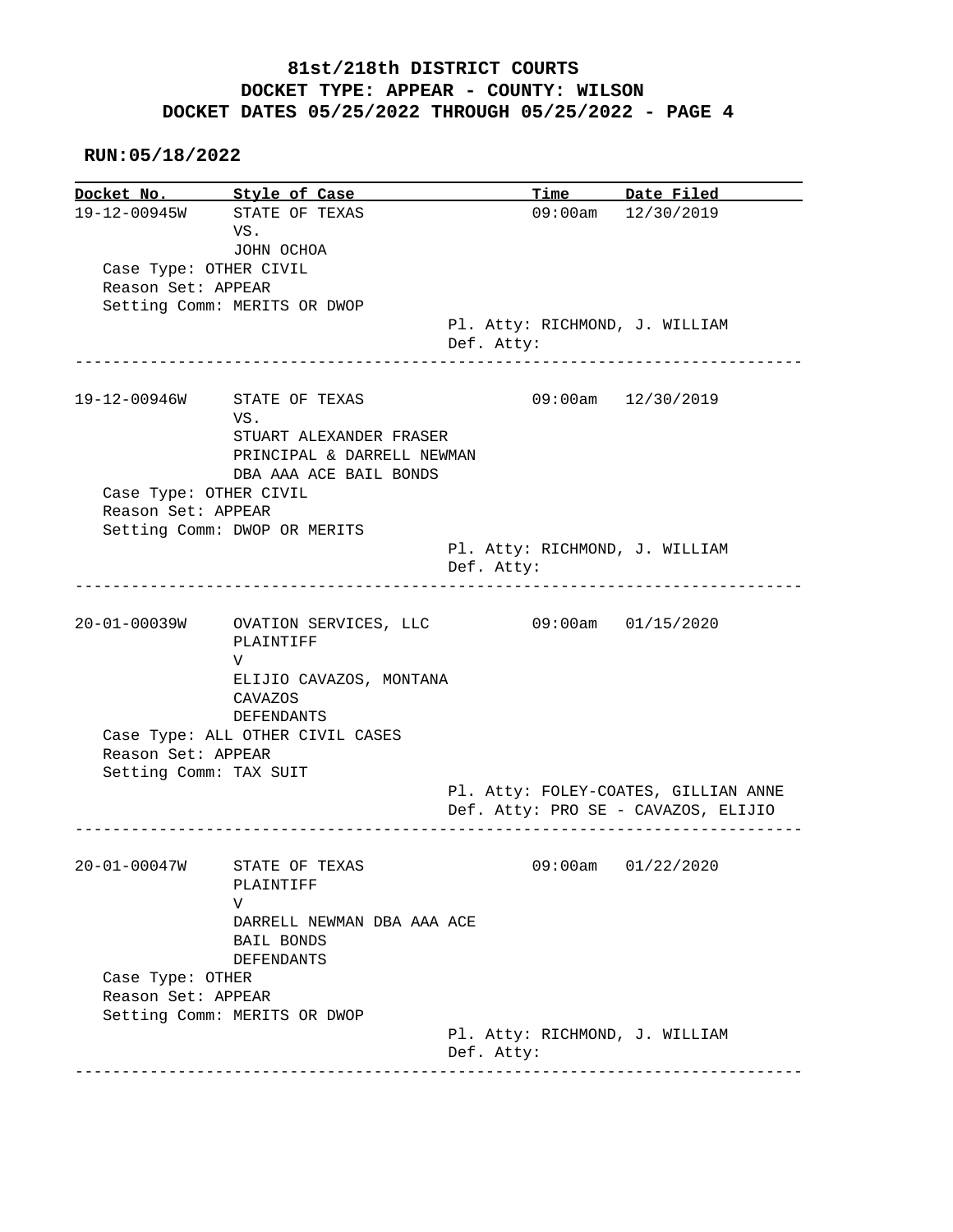#### **RUN:05/18/2022**

|                                              | Docket No. Style of Case                                                                  |            | Time Date Filed                      |
|----------------------------------------------|-------------------------------------------------------------------------------------------|------------|--------------------------------------|
|                                              | 19-12-00945W STATE OF TEXAS                                                               |            | 09:00am 12/30/2019                   |
|                                              | VS.                                                                                       |            |                                      |
|                                              | JOHN OCHOA                                                                                |            |                                      |
| Case Type: OTHER CIVIL                       |                                                                                           |            |                                      |
| Reason Set: APPEAR                           |                                                                                           |            |                                      |
|                                              | Setting Comm: MERITS OR DWOP                                                              |            |                                      |
|                                              |                                                                                           |            | Pl. Atty: RICHMOND, J. WILLIAM       |
|                                              |                                                                                           | Def. Atty: |                                      |
|                                              |                                                                                           |            |                                      |
| 19-12-00946W                                 | STATE OF TEXAS                                                                            |            | 09:00am 12/30/2019                   |
|                                              | VS.                                                                                       |            |                                      |
|                                              | STUART ALEXANDER FRASER                                                                   |            |                                      |
|                                              | PRINCIPAL & DARRELL NEWMAN                                                                |            |                                      |
|                                              |                                                                                           |            |                                      |
|                                              | DBA AAA ACE BAIL BONDS                                                                    |            |                                      |
| Case Type: OTHER CIVIL                       |                                                                                           |            |                                      |
| Reason Set: APPEAR                           |                                                                                           |            |                                      |
|                                              | Setting Comm: DWOP OR MERITS                                                              |            |                                      |
|                                              |                                                                                           |            | Pl. Atty: RICHMOND, J. WILLIAM       |
|                                              |                                                                                           | Def. Atty: |                                      |
|                                              | 20-01-00039W OVATION SERVICES, LLC<br>PLAINTIFF                                           |            | 09:00am 01/15/2020                   |
| Reason Set: APPEAR<br>Setting Comm: TAX SUIT | V<br>ELIJIO CAVAZOS, MONTANA<br>CAVAZOS<br>DEFENDANTS<br>Case Type: ALL OTHER CIVIL CASES |            | Pl. Atty: FOLEY-COATES, GILLIAN ANNE |
|                                              |                                                                                           |            | Def. Atty: PRO SE - CAVAZOS, ELIJIO  |
| 20-01-00047W                                 | STATE OF TEXAS                                                                            |            | 09:00am 01/22/2020                   |
|                                              | PLAINTIFF                                                                                 |            |                                      |
|                                              | V                                                                                         |            |                                      |
|                                              | DARRELL NEWMAN DBA AAA ACE                                                                |            |                                      |
|                                              | <b>BAIL BONDS</b><br><b>DEFENDANTS</b>                                                    |            |                                      |
| Case Type: OTHER                             |                                                                                           |            |                                      |
| Reason Set: APPEAR                           |                                                                                           |            |                                      |
|                                              | Setting Comm: MERITS OR DWOP                                                              |            |                                      |
|                                              |                                                                                           |            | Pl. Atty: RICHMOND, J. WILLIAM       |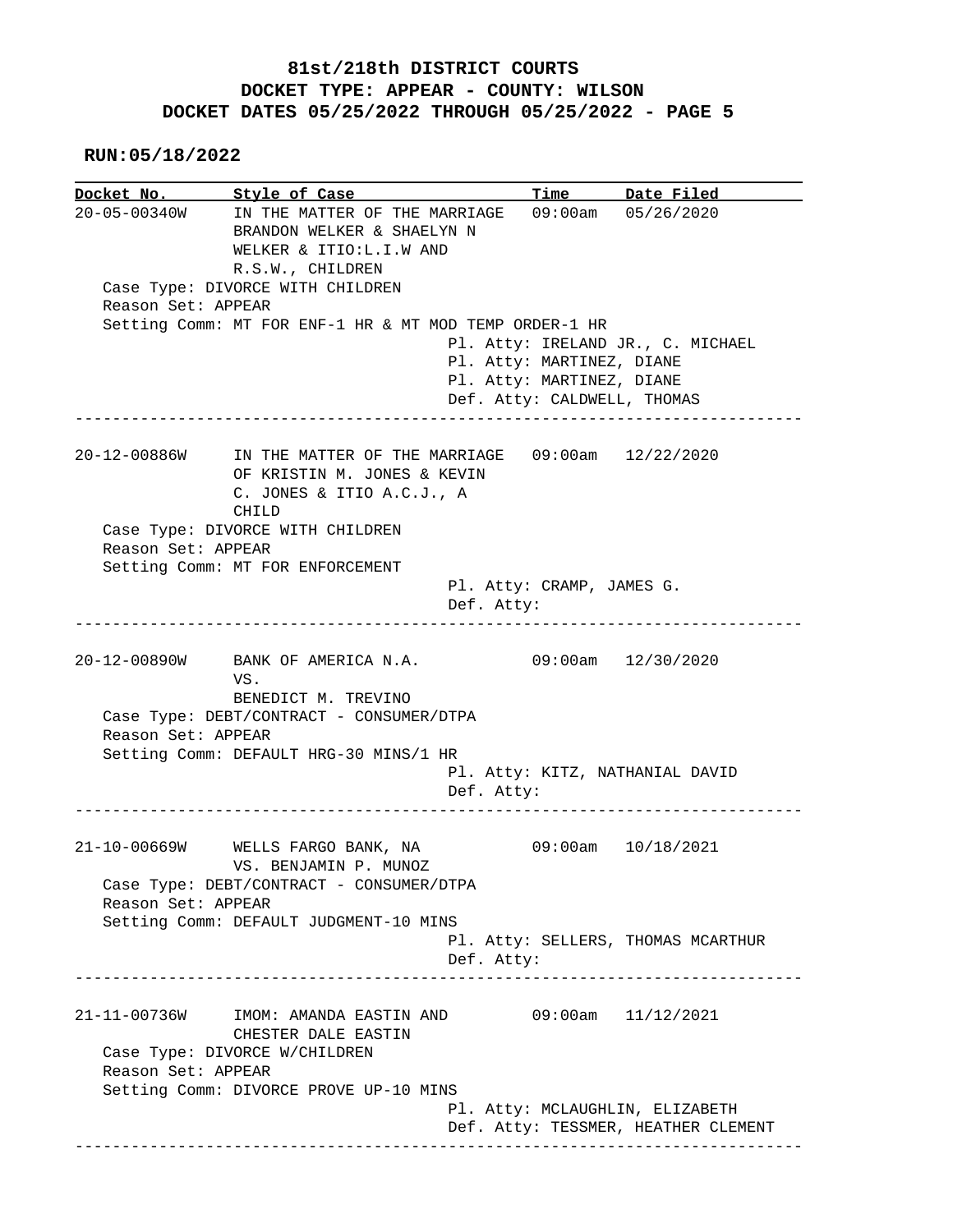**RUN:05/18/2022**

**Docket No. Style of Case Time Date Filed**  20-05-00340W IN THE MATTER OF THE MARRIAGE 09:00am 05/26/2020 BRANDON WELKER & SHAELYN N WELKER & ITIO:L.I.W AND R.S.W., CHILDREN Case Type: DIVORCE WITH CHILDREN Reason Set: APPEAR Setting Comm: MT FOR ENF-1 HR & MT MOD TEMP ORDER-1 HR Pl. Atty: IRELAND JR., C. MICHAEL Pl. Atty: MARTINEZ, DIANE Pl. Atty: MARTINEZ, DIANE Def. Atty: CALDWELL, THOMAS ------------------------------------------------------------------------------ 20-12-00886W IN THE MATTER OF THE MARRIAGE 09:00am 12/22/2020 OF KRISTIN M. JONES & KEVIN C. JONES & ITIO A.C.J., A CHILD Case Type: DIVORCE WITH CHILDREN Reason Set: APPEAR Setting Comm: MT FOR ENFORCEMENT Pl. Atty: CRAMP, JAMES G. Def. Atty: ------------------------------------------------------------------------------ 20-12-00890W BANK OF AMERICA N.A. 09:00am 12/30/2020 VS. BENEDICT M. TREVINO Case Type: DEBT/CONTRACT - CONSUMER/DTPA Reason Set: APPEAR Setting Comm: DEFAULT HRG-30 MINS/1 HR Pl. Atty: KITZ, NATHANIAL DAVID Def. Atty: ------------------------------------------------------------------------------ 21-10-00669W WELLS FARGO BANK, NA 09:00am 10/18/2021 VS. BENJAMIN P. MUNOZ Case Type: DEBT/CONTRACT - CONSUMER/DTPA Reason Set: APPEAR Setting Comm: DEFAULT JUDGMENT-10 MINS Pl. Atty: SELLERS, THOMAS MCARTHUR Def. Atty: ------------------------------------------------------------------------------ 21-11-00736W IMOM: AMANDA EASTIN AND 09:00am 11/12/2021 CHESTER DALE EASTIN Case Type: DIVORCE W/CHILDREN Reason Set: APPEAR Setting Comm: DIVORCE PROVE UP-10 MINS Pl. Atty: MCLAUGHLIN, ELIZABETH Def. Atty: TESSMER, HEATHER CLEMENT ------------------------------------------------------------------------------